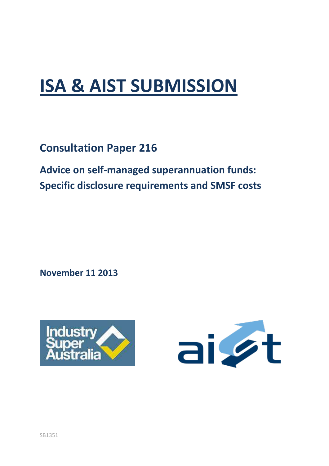# **ISA & AIST SUBMISSION**

**Consultation Paper 216**

**Advice on self-managed superannuation funds: Specific disclosure requirements and SMSF costs**

**November 11 2013**



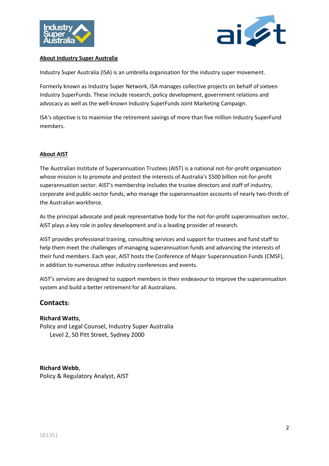



#### **About Industry Super Australia**

Industry Super Australia (ISA) is an umbrella organisation for the industry super movement.

Formerly known as Industry Super Network, ISA manages collective projects on behalf of sixteen Industry SuperFunds. These include research, policy development, government relations and advocacy as well as the well-known Industry SuperFunds Joint Marketing Campaign.

ISA's objective is to maximise the retirement savings of more than five million Industry SuperFund members.

#### **About AIST**

The Australian Institute of Superannuation Trustees (AIST) is a national not-for-profit organisation whose mission is to promote and protect the interests of Australia's \$500 billion not-for-profit superannuation sector. AIST's membership includes the trustee directors and staff of industry, corporate and public-sector funds, who manage the superannuation accounts of nearly two-thirds of the Australian workforce.

As the principal advocate and peak representative body for the not-for-profit superannuation sector, AIST plays a key role in policy development and is a leading provider of research.

AIST provides professional training, consulting services and support for trustees and fund staff to help them meet the challenges of managing superannuation funds and advancing the interests of their fund members. Each year, AIST hosts the Conference of Major Superannuation Funds (CMSF), in addition to numerous other industry conferences and events.

AIST's services are designed to support members in their endeavour to improve the superannuation system and build a better retirement for all Australians.

## **Contacts:**

#### **Richard Watts**,

Policy and Legal Counsel, Industry Super Australia Level 2, 50 Pitt Street, Sydney 2000

## **Richard Webb**,

Policy & Regulatory Analyst, AIST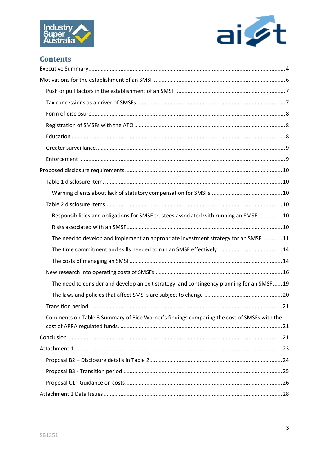



# **Contents**

| Responsibilities and obligations for SMSF trustees associated with running an SMSF 10      |
|--------------------------------------------------------------------------------------------|
|                                                                                            |
| The need to develop and implement an appropriate investment strategy for an SMSF 11        |
|                                                                                            |
|                                                                                            |
|                                                                                            |
| The need to consider and develop an exit strategy and contingency planning for an SMSF19   |
|                                                                                            |
|                                                                                            |
| Comments on Table 3 Summary of Rice Warner's findings comparing the cost of SMSFs with the |
|                                                                                            |
|                                                                                            |
|                                                                                            |
|                                                                                            |
|                                                                                            |
|                                                                                            |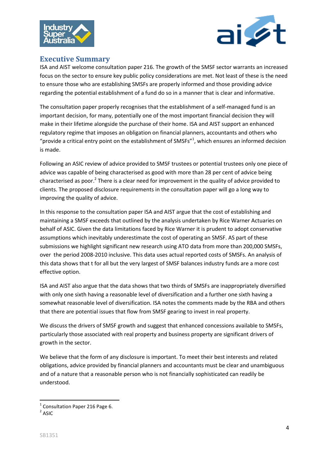



## <span id="page-3-0"></span>**Executive Summary**

ISA and AIST welcome consultation paper 216. The growth of the SMSF sector warrants an increased focus on the sector to ensure key public policy considerations are met. Not least of these is the need to ensure those who are establishing SMSFs are properly informed and those providing advice regarding the potential establishment of a fund do so in a manner that is clear and informative.

The consultation paper properly recognises that the establishment of a self-managed fund is an important decision, for many, potentially one of the most important financial decision they will make in their lifetime alongside the purchase of their home. ISA and AIST support an enhanced regulatory regime that imposes an obligation on financial planners, accountants and others who "provide a critical entry point on the establishment of SMSFs"<sup>1</sup>, which ensures an informed decision is made.

Following an ASIC review of advice provided to SMSF trustees or potential trustees only one piece of advice was capable of being characterised as good with more than 28 per cent of advice being characterised as poor.<sup>2</sup> There is a clear need for improvement in the quality of advice provided to clients. The proposed disclosure requirements in the consultation paper will go a long way to improving the quality of advice.

In this response to the consultation paper ISA and AIST argue that the cost of establishing and maintaining a SMSF exceeds that outlined by the analysis undertaken by Rice Warner Actuaries on behalf of ASIC. Given the data limitations faced by Rice Warner it is prudent to adopt conservative assumptions which inevitably underestimate the cost of operating an SMSF. AS part of these submissions we highlight significant new research using ATO data from more than 200,000 SMSFs, over the period 2008-2010 inclusive. This data uses actual reported costs of SMSFs. An analysis of this data shows that t for all but the very largest of SMSF balances industry funds are a more cost effective option.

ISA and AIST also argue that the data shows that two thirds of SMSFs are inappropriately diversified with only one sixth having a reasonable level of diversification and a further one sixth having a somewhat reasonable level of diversification. ISA notes the comments made by the RBA and others that there are potential issues that flow from SMSF gearing to invest in real property.

We discuss the drivers of SMSF growth and suggest that enhanced concessions available to SMSFs, particularly those associated with real property and business property are significant drivers of growth in the sector.

We believe that the form of any disclosure is important. To meet their best interests and related obligations, advice provided by financial planners and accountants must be clear and unambiguous and of a nature that a reasonable person who is not financially sophisticated can readily be understood.

**.** 

 $<sup>1</sup>$  Consultation Paper 216 Page 6.</sup>

 $2$  ASIC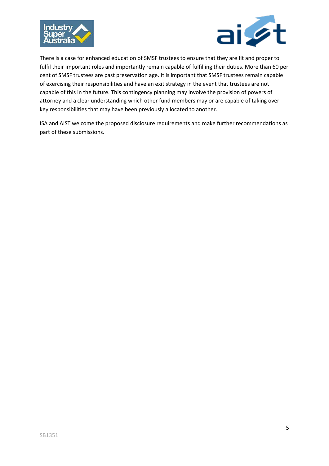



There is a case for enhanced education of SMSF trustees to ensure that they are fit and proper to fulfil their important roles and importantly remain capable of fulfilling their duties. More than 60 per cent of SMSF trustees are past preservation age. It is important that SMSF trustees remain capable of exercising their responsibilities and have an exit strategy in the event that trustees are not capable of this in the future. This contingency planning may involve the provision of powers of attorney and a clear understanding which other fund members may or are capable of taking over key responsibilities that may have been previously allocated to another.

ISA and AIST welcome the proposed disclosure requirements and make further recommendations as part of these submissions.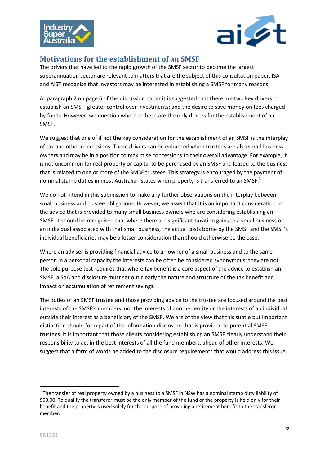



## <span id="page-5-0"></span>**Motivations for the establishment of an SMSF**

The drivers that have led to the rapid growth of the SMSF sector to become the largest superannuation sector are relevant to matters that are the subject of this consultation paper. ISA and AIST recognise that investors may be interested in establishing a SMSF for many reasons.

At paragraph 2 on page 6 of the discussion paper it is suggested that there are two key drivers to establish an SMSF: greater control over investments; and the desire to save money on fees charged by funds. However, we question whether these are the only drivers for the establishment of an SMSF.

We suggest that one of if not the key consideration for the establishment of an SMSF is the interplay of tax and other concessions. These drivers can be enhanced when trustees are also small business owners and may be in a position to maximise concessions to their overall advantage. For example, it is not uncommon for real property or capital to be purchased by an SMSF and leased to the business that is related to one or more of the SMSF trustees. This strategy is encouraged by the payment of nominal stamp duties in most Australian states when property is transferred to an SMSF.<sup>3</sup>

We do not intend in this submission to make any further observations on the interplay between small business and trustee obligations. However, we assert that it is an important consideration in the advice that is provided to many small business owners who are considering establishing an SMSF. It should be recognised that where there are significant taxation gains to a small business or an individual associated with that small business, the actual costs borne by the SMSF and the SMSF's individual beneficiaries may be a lesser consideration than should otherwise be the case.

Where an adviser is providing financial advice to an owner of a small business and to the same person in a personal capacity the interests can be often be considered synonymous; they are not. The sole purpose test requires that where tax benefit is a core aspect of the advice to establish an SMSF, a SoA and disclosure must set out clearly the nature and structure of the tax benefit and impact on accumulation of retirement savings.

The duties of an SMSF trustee and those providing advice to the trustee are focused around the best interests of the SMSF's members, not the interests of another entity or the interests of an individual outside their interest as a beneficiary of the SMSF. We are of the view that this subtle but important distinction should form part of the information disclosure that is provided to potential SMSF trustees. It is important that those clients considering establishing an SMSF clearly understand their responsibility to act in the best interests of all the fund members, ahead of other interests. We suggest that a form of words be added to the disclosure requirements that would address this issue.

 $3$  The transfer of real property owned by a business to a SMSF in NSW has a nominal stamp duty liability of \$50.00. To qualify the transferor must be the only member of the fund or the property is held only for their benefit and the property is used solely for the purpose of providing a retirement benefit to the transferor member.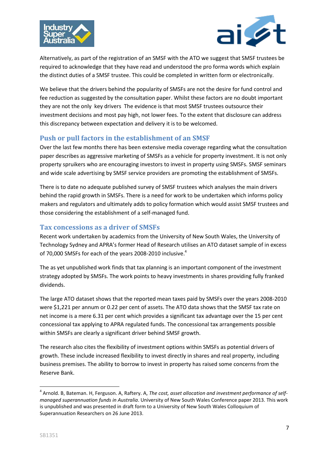



Alternatively, as part of the registration of an SMSF with the ATO we suggest that SMSF trustees be required to acknowledge that they have read and understood the pro forma words which explain the distinct duties of a SMSF trustee. This could be completed in written form or electronically.

We believe that the drivers behind the popularity of SMSFs are not the desire for fund control and fee reduction as suggested by the consultation paper. Whilst these factors are no doubt important they are not the only key drivers The evidence is that most SMSF trustees outsource their investment decisions and most pay high, not lower fees. To the extent that disclosure can address this discrepancy between expectation and delivery it is to be welcomed.

## <span id="page-6-0"></span>**Push or pull factors in the establishment of an SMSF**

Over the last few months there has been extensive media coverage regarding what the consultation paper describes as aggressive marketing of SMSFs as a vehicle for property investment. It is not only property spruikers who are encouraging investors to invest in property using SMSFs. SMSF seminars and wide scale advertising by SMSF service providers are promoting the establishment of SMSFs.

There is to date no adequate published survey of SMSF trustees which analyses the main drivers behind the rapid growth in SMSFs. There is a need for work to be undertaken which informs policy makers and regulators and ultimately adds to policy formation which would assist SMSF trustees and those considering the establishment of a self-managed fund.

## <span id="page-6-1"></span>**Tax concessions as a driver of SMSFs**

Recent work undertaken by academics from the University of New South Wales, the University of Technology Sydney and APRA's former Head of Research utilises an ATO dataset sample of in excess of 70,000 SMSFs for each of the years 2008-2010 inclusive.<sup>4</sup>

The as yet unpublished work finds that tax planning is an important component of the investment strategy adopted by SMSFs. The work points to heavy investments in shares providing fully franked dividends.

The large ATO dataset shows that the reported mean taxes paid by SMSFs over the years 2008-2010 were \$1,221 per annum or 0.22 per cent of assets. The ATO data shows that the SMSF tax rate on net income is a mere 6.31 per cent which provides a significant tax advantage over the 15 per cent concessional tax applying to APRA regulated funds. The concessional tax arrangements possible within SMSFs are clearly a significant driver behind SMSF growth.

The research also cites the flexibility of investment options within SMSFs as potential drivers of growth. These include increased flexibility to invest directly in shares and real property, including business premises. The ability to borrow to invest in property has raised some concerns from the Reserve Bank.

<sup>4</sup> Arnold. B, Bateman. H, Ferguson. A, Raftery. A, *The cost, asset allocation and investment performance of selfmanaged superannuation funds in Australia*. University of New South Wales Conference paper 2013. This work is unpublished and was presented in draft form to a University of New South Wales Colloquium of Superannuation Researchers on 26 June 2013.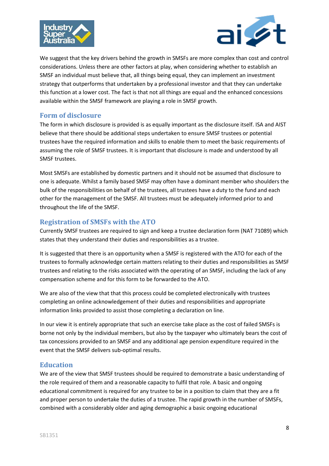



We suggest that the key drivers behind the growth in SMSFs are more complex than cost and control considerations. Unless there are other factors at play, when considering whether to establish an SMSF an individual must believe that, all things being equal, they can implement an investment strategy that outperforms that undertaken by a professional investor and that they can undertake this function at a lower cost. The fact is that not all things are equal and the enhanced concessions available within the SMSF framework are playing a role in SMSF growth.

## <span id="page-7-0"></span>**Form of disclosure**

The form in which disclosure is provided is as equally important as the disclosure itself. ISA and AIST believe that there should be additional steps undertaken to ensure SMSF trustees or potential trustees have the required information and skills to enable them to meet the basic requirements of assuming the role of SMSF trustees. It is important that disclosure is made and understood by all SMSF trustees.

Most SMSFs are established by domestic partners and it should not be assumed that disclosure to one is adequate. Whilst a family based SMSF may often have a dominant member who shoulders the bulk of the responsibilities on behalf of the trustees, all trustees have a duty to the fund and each other for the management of the SMSF. All trustees must be adequately informed prior to and throughout the life of the SMSF.

## <span id="page-7-1"></span>**Registration of SMSFs with the ATO**

Currently SMSF trustees are required to sign and keep a trustee declaration form (NAT 71089) which states that they understand their duties and responsibilities as a trustee.

It is suggested that there is an opportunity when a SMSF is registered with the ATO for each of the trustees to formally acknowledge certain matters relating to their duties and responsibilities as SMSF trustees and relating to the risks associated with the operating of an SMSF, including the lack of any compensation scheme and for this form to be forwarded to the ATO.

We are also of the view that that this process could be completed electronically with trustees completing an online acknowledgement of their duties and responsibilities and appropriate information links provided to assist those completing a declaration on line.

In our view it is entirely appropriate that such an exercise take place as the cost of failed SMSFs is borne not only by the individual members, but also by the taxpayer who ultimately bears the cost of tax concessions provided to an SMSF and any additional age pension expenditure required in the event that the SMSF delivers sub-optimal results.

## <span id="page-7-2"></span>**Education**

We are of the view that SMSF trustees should be required to demonstrate a basic understanding of the role required of them and a reasonable capacity to fulfil that role. A basic and ongoing educational commitment is required for any trustee to be in a position to claim that they are a fit and proper person to undertake the duties of a trustee. The rapid growth in the number of SMSFs, combined with a considerably older and aging demographic a basic ongoing educational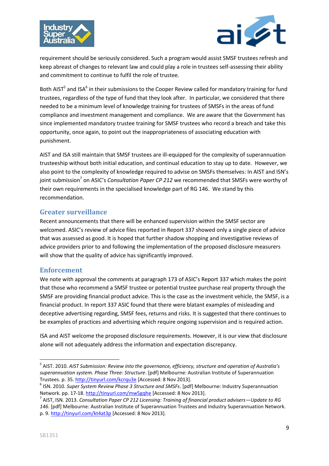



requirement should be seriously considered. Such a program would assist SMSF trustees refresh and keep abreast of changes to relevant law and could play a role in trustees self-assessing their ability and commitment to continue to fulfil the role of trustee.

Both AIST<sup>5</sup> and ISA<sup>6</sup> in their submissions to the Cooper Review called for mandatory training for fund trustees, regardless of the type of fund that they look after. In particular, we considered that there needed to be a minimum level of knowledge training for trustees of SMSFs in the areas of fund compliance and investment management and compliance. We are aware that the Government has since implemented mandatory trustee training for SMSF trustees who record a breach and take this opportunity, once again, to point out the inappropriateness of associating education with punishment.

AIST and ISA still maintain that SMSF trustees are ill-equipped for the complexity of superannuation trusteeship without both initial education, and continual education to stay up to date. However, we also point to the complexity of knowledge required to advise on SMSFs themselves: In AIST and ISN's joint submission<sup>7</sup> on ASIC's *Consultation Paper CP 212* we recommended that SMSFs were worthy of their own requirements in the specialised knowledge part of RG 146. We stand by this recommendation.

## <span id="page-8-0"></span>**Greater surveillance**

Recent announcements that there will be enhanced supervision within the SMSF sector are welcomed. ASIC's review of advice files reported in Report 337 showed only a single piece of advice that was assessed as good. It is hoped that further shadow shopping and investigative reviews of advice providers prior to and following the implementation of the proposed disclosure measurers will show that the quality of advice has significantly improved.

## <span id="page-8-1"></span>**Enforcement**

We note with approval the comments at paragraph 173 of ASIC's Report 337 which makes the point that those who recommend a SMSF trustee or potential trustee purchase real property through the SMSF are providing financial product advice. This is the case as the investment vehicle, the SMSF, is a financial product. In report 337 ASIC found that there were blatant examples of misleading and deceptive advertising regarding, SMSF fees, returns and risks. It is suggested that there continues to be examples of practices and advertising which require ongoing supervision and is required action.

ISA and AIST welcome the proposed disclosure requirements. However, it is our view that disclosure alone will not adequately address the information and expectation discrepancy.

<sup>5</sup> AIST. 2010. *AIST Submission: Review into the governance, efficiency, structure and operation of Australia's superannuation system. Phase Three: Structure*. [pdf] Melbourne: Australian Institute of Superannuation Trustees. p. 35[. http://tinyurl.com/kcrqu3e](http://tinyurl.com/kcrqu3e) [Accessed: 8 Nov 2013].

<sup>6</sup> ISN. 2010. *Super System Review Phase 3 Structure and SMSFs*. [pdf] Melbourne: Industry Superannuation Network. pp. 17-18[. http://tinyurl.com/mw5gqhe](http://tinyurl.com/mw5gqhe) [Accessed: 8 Nov 2013].

<sup>7</sup> AIST, ISN. 2013. *Consultation Paper CP 212 Licensing: Training of financial product advisers—Update to RG 146*. [pdf] Melbourne: Australian Institute of Superannuation Trustees and Industry Superannuation Network. p. 9.<http://tinyurl.com/kt4at3p> [Accessed: 8 Nov 2013].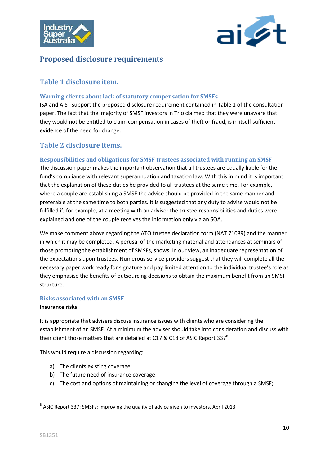



## <span id="page-9-0"></span>**Proposed disclosure requirements**

## <span id="page-9-1"></span>**Table 1 disclosure item.**

#### <span id="page-9-2"></span>**Warning clients about lack of statutory compensation for SMSFs**

ISA and AIST support the proposed disclosure requirement contained in Table 1 of the consultation paper. The fact that the majority of SMSF investors in Trio claimed that they were unaware that they would not be entitled to claim compensation in cases of theft or fraud, is in itself sufficient evidence of the need for change.

## <span id="page-9-3"></span>**Table 2 disclosure items.**

#### <span id="page-9-4"></span>**Responsibilities and obligations for SMSF trustees associated with running an SMSF**

The discussion paper makes the important observation that all trustees are equally liable for the fund's compliance with relevant superannuation and taxation law. With this in mind it is important that the explanation of these duties be provided to all trustees at the same time. For example, where a couple are establishing a SMSF the advice should be provided in the same manner and preferable at the same time to both parties. It is suggested that any duty to advise would not be fulfilled if, for example, at a meeting with an adviser the trustee responsibilities and duties were explained and one of the couple receives the information only via an SOA.

We make comment above regarding the ATO trustee declaration form (NAT 71089) and the manner in which it may be completed. A perusal of the marketing material and attendances at seminars of those promoting the establishment of SMSFs, shows, in our view, an inadequate representation of the expectations upon trustees. Numerous service providers suggest that they will complete all the necessary paper work ready for signature and pay limited attention to the individual trustee's role as they emphasise the benefits of outsourcing decisions to obtain the maximum benefit from an SMSF structure.

#### <span id="page-9-5"></span>**Risks associated with an SMSF**

#### **Insurance risks**

It is appropriate that advisers discuss insurance issues with clients who are considering the establishment of an SMSF. At a minimum the adviser should take into consideration and discuss with their client those matters that are detailed at C17 & C18 of ASIC Report 337<sup>8</sup>.

This would require a discussion regarding:

- a) The clients existing coverage;
- b) The future need of insurance coverage;
- c) The cost and options of maintaining or changing the level of coverage through a SMSF;

 $^8$  ASIC Report 337: SMSFs: Improving the quality of advice given to investors. April 2013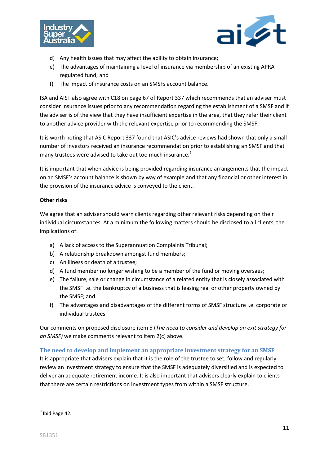



- d) Any health issues that may affect the ability to obtain insurance;
- e) The advantages of maintaining a level of insurance via membership of an existing APRA regulated fund; and
- f) The impact of insurance costs on an SMSFs account balance.

ISA and AIST also agree with C18 on page 67 of Report 337 which recommends that an adviser must consider insurance issues prior to any recommendation regarding the establishment of a SMSF and if the adviser is of the view that they have insufficient expertise in the area, that they refer their client to another advice provider with the relevant expertise prior to recommending the SMSF.

It is worth noting that ASIC Report 337 found that ASIC's advice reviews had shown that only a small number of investors received an insurance recommendation prior to establishing an SMSF and that many trustees were advised to take out too much insurance.<sup>9</sup>

It is important that when advice is being provided regarding insurance arrangements that the impact on an SMSF's account balance is shown by way of example and that any financial or other interest in the provision of the insurance advice is conveyed to the client.

#### **Other risks**

We agree that an adviser should warn clients regarding other relevant risks depending on their individual circumstances. At a minimum the following matters should be disclosed to all clients, the implications of:

- a) A lack of access to the Superannuation Complaints Tribunal;
- b) A relationship breakdown amongst fund members;
- c) An illness or death of a trustee;
- d) A fund member no longer wishing to be a member of the fund or moving oversaes;
- e) The failure, sale or change in circumstance of a related entity that is closely associated with the SMSF i.e. the bankruptcy of a business that is leasing real or other property owned by the SMSF; and
- f) The advantages and disadvantages of the different forms of SMSF structure i.e. corporate or individual trustees.

Our comments on proposed disclosure item 5 (*The need to consider and develop an exit strategy for an SMSF)* we make comments relevant to item 2(c) above.

#### <span id="page-10-0"></span>**The need to develop and implement an appropriate investment strategy for an SMSF**

It is appropriate that advisers explain that it is the role of the trustee to set, follow and regularly review an investment strategy to ensure that the SMSF is adequately diversified and is expected to deliver an adequate retirement income. It is also important that advisers clearly explain to clients that there are certain restrictions on investment types from within a SMSF structure.

 9 Ibid Page 42.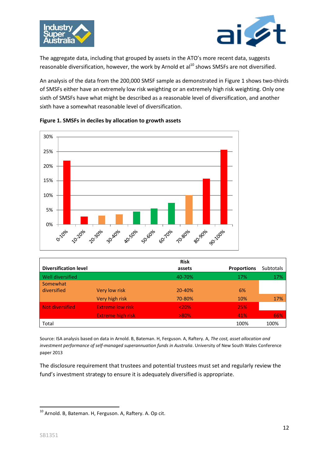



The aggregate data, including that grouped by assets in the ATO's more recent data, suggests reasonable diversification, however, the work by Arnold et  $al^{10}$  shows SMSFs are not diversified.

An analysis of the data from the 200,000 SMSF sample as demonstrated in Figure 1 shows two-thirds of SMSFs either have an extremely low risk weighting or an extremely high risk weighting. Only one sixth of SMSFs have what might be described as a reasonable level of diversification, and another sixth have a somewhat reasonable level of diversification.





|                              |                          | <b>Risk</b> |                    |                  |
|------------------------------|--------------------------|-------------|--------------------|------------------|
| <b>Diversification level</b> |                          | assets      | <b>Proportions</b> | <b>Subtotals</b> |
| Well diversified             |                          | 40-70%      | 17%                | 17%              |
| Somewhat                     |                          |             |                    |                  |
| diversified                  | Very low risk            | 20-40%      | 6%                 |                  |
|                              | Very high risk           | 70-80%      | 10%                | 17%              |
| Not diversified              | <b>Extreme low risk</b>  | < 20%       | 25%                |                  |
|                              | <b>Extreme high risk</b> | $>80\%$     | 41%                | 66%              |
| Total                        |                          |             | 100%               | 100%             |

Source: ISA analysis based on data in Arnold. B, Bateman. H, Ferguson. A, Raftery. A, *The cost, asset allocation and investment performance of self-managed superannuation funds in Australia*. University of New South Wales Conference paper 2013

The disclosure requirement that trustees and potential trustees must set and regularly review the fund's investment strategy to ensure it is adequately diversified is appropriate.

<sup>1</sup>  $^{10}$  Arnold. B, Bateman. H, Ferguson. A, Raftery. A. Op cit.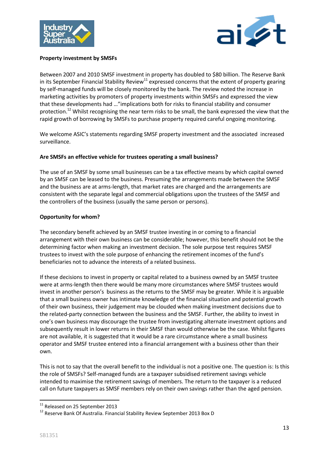



#### **Property investment by SMSFs**

Between 2007 and 2010 SMSF investment in property has doubled to \$80 billion. The Reserve Bank in its September Financial Stability Review<sup>11</sup> expressed concerns that the extent of property gearing by self-managed funds will be closely monitored by the bank. The review noted the increase in marketing activities by promoters of property investments within SMSFs and expressed the view that these developments had …"implications both for risks to financial stability and consumer protection.<sup>12</sup> Whilst recognising the near term risks to be small, the bank expressed the view that the rapid growth of borrowing by SMSFs to purchase property required careful ongoing monitoring.

We welcome ASIC's statements regarding SMSF property investment and the associated increased surveillance.

#### **Are SMSFs an effective vehicle for trustees operating a small business?**

The use of an SMSF by some small businesses can be a tax effective means by which capital owned by an SMSF can be leased to the business. Presuming the arrangements made between the SMSF and the business are at arms-length, that market rates are charged and the arrangements are consistent with the separate legal and commercial obligations upon the trustees of the SMSF and the controllers of the business (usually the same person or persons).

#### **Opportunity for whom?**

The secondary benefit achieved by an SMSF trustee investing in or coming to a financial arrangement with their own business can be considerable; however, this benefit should not be the determining factor when making an investment decision. The sole purpose test requires SMSF trustees to invest with the sole purpose of enhancing the retirement incomes of the fund's beneficiaries not to advance the interests of a related business.

If these decisions to invest in property or capital related to a business owned by an SMSF trustee were at arms-length then there would be many more circumstances where SMSF trustees would invest in another person's business as the returns to the SMSF may be greater. While it is arguable that a small business owner has intimate knowledge of the financial situation and potential growth of their own business, their judgement may be clouded when making investment decisions due to the related-party connection between the business and the SMSF. Further, the ability to invest in one's own business may discourage the trustee from investigating alternate investment options and subsequently result in lower returns in their SMSF than would otherwise be the case. Whilst figures are not available, it is suggested that it would be a rare circumstance where a small business operator and SMSF trustee entered into a financial arrangement with a business other than their own.

This is not to say that the overall benefit to the individual is not a positive one. The question is: Is this the role of SMSFs? Self-managed funds are a taxpayer subsidised retirement savings vehicle intended to maximise the retirement savings of members. The return to the taxpayer is a reduced call on future taxpayers as SMSF members rely on their own savings rather than the aged pension.

**<sup>.</sup>** <sup>11</sup> Released on 25 September 2013

<sup>&</sup>lt;sup>12</sup> Reserve Bank Of Australia. Financial Stability Review September 2013 Box D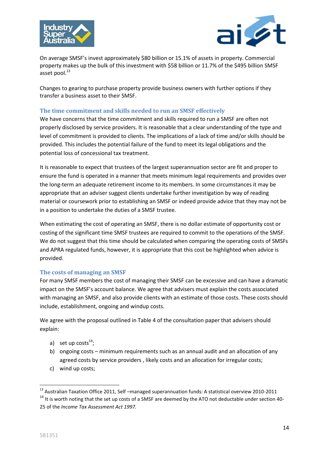



On average SMSF's invest approximately \$80 billion or 15.1% of assets in property. Commercial property makes up the bulk of this investment with \$58 billion or 11.7% of the \$495 billion SMSF asset pool.<sup>13</sup>

Changes to gearing to purchase property provide business owners with further options if they transfer a business asset to their SMSF.

#### <span id="page-13-0"></span>**The time commitment and skills needed to run an SMSF effectively**

We have concerns that the time commitment and skills required to run a SMSF are often not properly disclosed by service providers. It is reasonable that a clear understanding of the type and level of commitment is provided to clients. The implications of a lack of time and/or skills should be provided. This includes the potential failure of the fund to meet its legal obligations and the potential loss of concessional tax treatment.

It is reasonable to expect that trustees of the largest superannuation sector are fit and proper to ensure the fund is operated in a manner that meets minimum legal requirements and provides over the long-term an adequate retirement income to its members. In some circumstances it may be appropriate that an adviser suggest clients undertake further investigation by way of reading material or coursework prior to establishing an SMSF or indeed provide advice that they may not be in a position to undertake the duties of a SMSF trustee.

When estimating the cost of operating an SMSF, there is no dollar estimate of opportunity cost or costing of the significant time SMSF trustees are required to commit to the operations of the SMSF. We do not suggest that this time should be calculated when comparing the operating costs of SMSFs and APRA regulated funds, however, it is appropriate that this cost be highlighted when advice is provided.

#### <span id="page-13-1"></span>**The costs of managing an SMSF**

For many SMSF members the cost of managing their SMSF can be excessive and can have a dramatic impact on the SMSF's account balance. We agree that advisers must explain the costs associated with managing an SMSF, and also provide clients with an estimate of those costs. These costs should include, establishment, ongoing and windup costs.

We agree with the proposal outlined in Table 4 of the consultation paper that advisers should explain:

- a) set up costs $^{14}$ ;
- b) ongoing costs minimum requirements such as an annual audit and an allocation of any agreed costs by service providers , likely costs and an allocation for irregular costs;
- c) wind up costs;

<sup>&</sup>lt;sup>13</sup> Australian Taxation Office 2011, Self –managed superannuation funds: A statistical overview 2010-2011 <sup>14</sup> It is worth noting that the set up costs of a SMSF are deemed by the ATO not deductable under section 40-25 of the *Income Tax Assessment Act 1997.*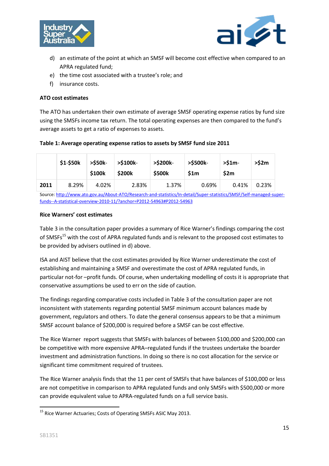



- d) an estimate of the point at which an SMSF will become cost effective when compared to an APRA regulated fund;
- e) the time cost associated with a trustee's role; and
- f) insurance costs.

#### **ATO cost estimates**

The ATO has undertaken their own estimate of average SMSF operating expense ratios by fund size using the SMSFs income tax return. The total operating expenses are then compared to the fund's average assets to get a ratio of expenses to assets.

#### **Table 1: Average operating expense ratios to assets by SMSF fund size 2011**

|      | \$1-\$50k | >\$50k-<br>\$100k | >\$100k-<br>\$200k | >\$200k-<br>\$500k | >\$500k-<br>\$1m | $>51m-$<br>\$2m | >52m  |
|------|-----------|-------------------|--------------------|--------------------|------------------|-----------------|-------|
| 2011 | 8.29%     | 4.02%             | 2.83%              | 1.37%              | 0.69%            | 0.41%           | 0.23% |

Source[: http://www.ato.gov.au/About-ATO/Research-and-statistics/In-detail/Super-statistics/SMSF/Self-managed-super](http://www.ato.gov.au/About-ATO/Research-and-statistics/In-detail/Super-statistics/SMSF/Self-managed-super-funds--A-statistical-overview-2010-11/?anchor=P2012-54963#P2012-54963)[funds--A-statistical-overview-2010-11/?anchor=P2012-54963#P2012-54963](http://www.ato.gov.au/About-ATO/Research-and-statistics/In-detail/Super-statistics/SMSF/Self-managed-super-funds--A-statistical-overview-2010-11/?anchor=P2012-54963#P2012-54963)

#### **Rice Warners' cost estimates**

Table 3 in the consultation paper provides a summary of Rice Warner's findings comparing the cost of SMSFs<sup>15</sup> with the cost of APRA regulated funds and is relevant to the proposed cost estimates to be provided by advisers outlined in d) above.

ISA and AIST believe that the cost estimates provided by Rice Warner underestimate the cost of establishing and maintaining a SMSF and overestimate the cost of APRA regulated funds, in particular not-for –profit funds. Of course, when undertaking modelling of costs it is appropriate that conservative assumptions be used to err on the side of caution.

The findings regarding comparative costs included in Table 3 of the consultation paper are not inconsistent with statements regarding potential SMSF minimum account balances made by government, regulators and others. To date the general consensus appears to be that a minimum SMSF account balance of \$200,000 is required before a SMSF can be cost effective.

The Rice Warner report suggests that SMSFs with balances of between \$100,000 and \$200,000 can be competitive with more expensive APRA–regulated funds if the trustees undertake the boarder investment and administration functions. In doing so there is no cost allocation for the service or significant time commitment required of trustees.

The Rice Warner analysis finds that the 11 per cent of SMSFs that have balances of \$100,000 or less are not competitive in comparison to APRA regulated funds and only SMSFs with \$500,000 or more can provide equivalent value to APRA-regulated funds on a full service basis.

<sup>&</sup>lt;sup>15</sup> Rice Warner Actuaries; Costs of Operating SMSFs ASIC May 2013.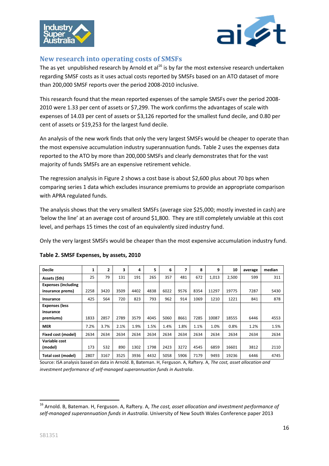



## <span id="page-15-0"></span>**New research into operating costs of SMSFs**

The as yet unpublished research by Arnold et al<sup>16</sup> is by far the most extensive research undertaken regarding SMSF costs as it uses actual costs reported by SMSFs based on an ATO dataset of more than 200,000 SMSF reports over the period 2008-2010 inclusive.

This research found that the mean reported expenses of the sample SMSFs over the period 2008- 2010 were 1.33 per cent of assets or \$7,299. The work confirms the advantages of scale with expenses of 14.03 per cent of assets or \$3,126 reported for the smallest fund decile, and 0.80 per cent of assets or \$19,253 for the largest fund decile.

An analysis of the new work finds that only the very largest SMSFs would be cheaper to operate than the most expensive accumulation industry superannuation funds. Table 2 uses the expenses data reported to the ATO by more than 200,000 SMSFs and clearly demonstrates that for the vast majority of funds SMSFs are an expensive retirement vehicle.

The regression analysis in Figure 2 shows a cost base is about \$2,600 plus about 70 bps when comparing series 1 data which excludes insurance premiums to provide an appropriate comparison with APRA regulated funds.

The analysis shows that the very smallest SMSFs (average size \$25,000; mostly invested in cash) are 'below the line' at an average cost of around \$1,800. They are still completely unviable at this cost level, and perhaps 15 times the cost of an equivalently sized industry fund.

Only the very largest SMSFs would be cheaper than the most expensive accumulation industry fund.

| <b>Decile</b>              | 1    | 2    | 3    | 4    | 5    | 6    | 7    | 8    | 9     | 10    | average | median |
|----------------------------|------|------|------|------|------|------|------|------|-------|-------|---------|--------|
| Assets (\$th)              | 25   | 79   | 131  | 191  | 265  | 357  | 481  | 672  | 1,013 | 2,500 | 599     | 311    |
| <b>Expenses (including</b> |      |      |      |      |      |      |      |      |       |       |         |        |
| insurance prems)           | 2258 | 3420 | 3509 | 4402 | 4838 | 6022 | 9576 | 8354 | 11297 | 19775 | 7287    | 5430   |
| Insurance                  | 425  | 564  | 720  | 823  | 793  | 962  | 914  | 1069 | 1210  | 1221  | 841     | 878    |
| <b>Expenses (less</b>      |      |      |      |      |      |      |      |      |       |       |         |        |
| insurance                  |      |      |      |      |      |      |      |      |       |       |         |        |
| premiums)                  | 1833 | 2857 | 2789 | 3579 | 4045 | 5060 | 8661 | 7285 | 10087 | 18555 | 6446    | 4553   |
| <b>MER</b>                 | 7.2% | 3.7% | 2.1% | 1.9% | 1.5% | 1.4% | 1.8% | 1.1% | 1.0%  | 0.8%  | 1.2%    | 1.5%   |
| Fixed cost (model)         | 2634 | 2634 | 2634 | 2634 | 2634 | 2634 | 2634 | 2634 | 2634  | 2634  | 2634    | 2634   |
| Variable cost              |      |      |      |      |      |      |      |      |       |       |         |        |
| (model)                    | 173  | 532  | 890  | 1302 | 1798 | 2423 | 3272 | 4545 | 6859  | 16601 | 3812    | 2110   |
| Total cost (model)         | 2807 | 3167 | 3525 | 3936 | 4432 | 5058 | 5906 | 7179 | 9493  | 19236 | 6446    | 4745   |

#### **Table 2. SMSF Expenses, by assets, 2010**

Source: ISA analysis based on data in Arnold. B, Bateman. H, Ferguson. A, Raftery. A, *The cost, asset allocation and investment performance of self-managed superannuation funds in Australia*.

**.** 

<sup>16</sup> Arnold. B, Bateman. H, Ferguson. A, Raftery. A, *The cost, asset allocation and investment performance of self-managed superannuation funds in Australia*. University of New South Wales Conference paper 2013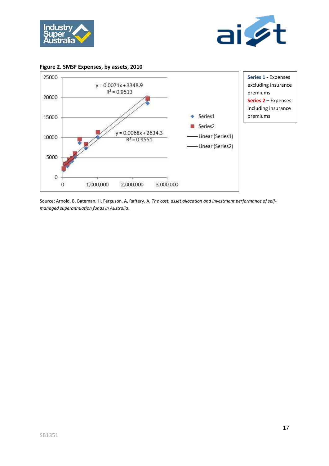





Source: Arnold. B, Bateman. H, Ferguson. A, Raftery. A, *The cost, asset allocation and investment performance of selfmanaged superannuation funds in Australia*.

**Figure 2. SMSF Expenses, by assets, 2010**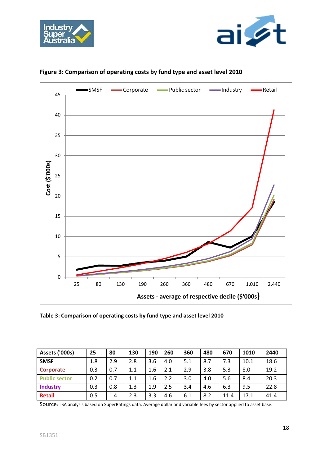





## **Figure 3: Comparison of operating costs by fund type and asset level 2010**

**Table 3: Comparison of operating costs by fund type and asset level 2010**

| Assets ('000s)       | 25  | 80  | 130 | 190 | 260 | 360 | 480 | 670  | 1010 | 2440 |
|----------------------|-----|-----|-----|-----|-----|-----|-----|------|------|------|
| <b>SMSF</b>          | 1.8 | 2.9 | 2.8 | 3.6 | 4.0 | 5.1 | 8.7 | 7.3  | 10.1 | 18.6 |
| Corporate            | 0.3 | 0.7 | 1.1 | 1.6 | 2.1 | 2.9 | 3.8 | 5.3  | 8.0  | 19.2 |
| <b>Public sector</b> | 0.2 | 0.7 | 1.1 | 1.6 | 2.2 | 3.0 | 4.0 | 5.6  | 8.4  | 20.3 |
| <b>Industry</b>      | 0.3 | 0.8 | 1.3 | 1.9 | 2.5 | 3.4 | 4.6 | 6.3  | 9.5  | 22.8 |
| <b>Retail</b>        | 0.5 | 1.4 | 2.3 | 3.3 | 4.6 | 6.1 | 8.2 | 11.4 | 17.1 | 41.4 |

Source: ISA analysis based on SuperRatings data. Average dollar and variable fees by sector applied to asset base.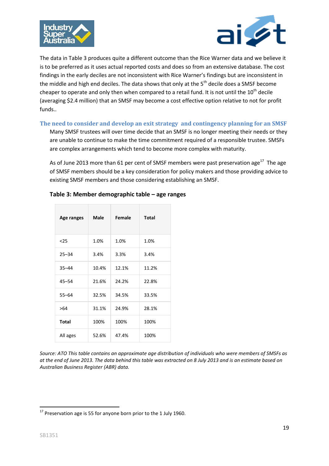



The data in Table 3 produces quite a different outcome than the Rice Warner data and we believe it is to be preferred as it uses actual reported costs and does so from an extensive database. The cost findings in the early deciles are not inconsistent with Rice Warner's findings but are inconsistent in the middle and high end deciles. The data shows that only at the 5<sup>th</sup> decile does a SMSF become cheaper to operate and only then when compared to a retail fund. It is not until the  $10<sup>th</sup>$  decile (averaging \$2.4 million) that an SMSF may become a cost effective option relative to not for profit funds..

#### <span id="page-18-0"></span>**The need to consider and develop an exit strategy and contingency planning for an SMSF**

Many SMSF trustees will over time decide that an SMSF is no longer meeting their needs or they are unable to continue to make the time commitment required of a responsible trustee. SMSFs are complex arrangements which tend to become more complex with maturity.

As of June 2013 more than 61 per cent of SMSF members were past preservation age<sup>17</sup> The age of SMSF members should be a key consideration for policy makers and those providing advice to existing SMSF members and those considering establishing an SMSF.

| Age ranges   | Male  | Female | <b>Total</b> |
|--------------|-------|--------|--------------|
| $25$         | 1.0%  | 1.0%   | 1.0%         |
| $25 - 34$    | 3.4%  | 3.3%   | 3.4%         |
| $35 - 44$    | 10.4% | 12.1%  | 11.2%        |
| $45 - 54$    | 21.6% | 24.2%  | 22.8%        |
| $55 - 64$    | 32.5% | 34.5%  | 33.5%        |
| >64          | 31.1% | 24.9%  | 28.1%        |
| <b>Total</b> | 100%  | 100%   | 100%         |
| All ages     | 52.6% | 47.4%  | 100%         |

#### **Table 3: Member demographic table – age ranges**

*Source: ATO This table contains an approximate age distribution of individuals who were members of SMSFs as at the end of June 2013. The data behind this table was extracted on 8 July 2013 and is an estimate based on Australian Business Register (ABR) data.*

 $17$  Preservation age is 55 for anyone born prior to the 1 July 1960.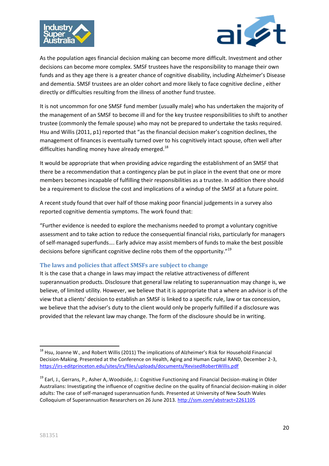



As the population ages financial decision making can become more difficult. Investment and other decisions can become more complex. SMSF trustees have the responsibility to manage their own funds and as they age there is a greater chance of cognitive disability, including Alzheimer's Disease and dementia. SMSF trustees are an older cohort and more likely to face cognitive decline , either directly or difficulties resulting from the illness of another fund trustee.

It is not uncommon for one SMSF fund member (usually male) who has undertaken the majority of the management of an SMSF to become ill and for the key trustee responsibilities to shift to another trustee (commonly the female spouse) who may not be prepared to undertake the tasks required. Hsu and Willis (2011, p1) reported that "as the financial decision maker's cognition declines, the management of finances is eventually turned over to his cognitively intact spouse, often well after difficulties handling money have already emerged. $^{18}$ 

It would be appropriate that when providing advice regarding the establishment of an SMSF that there be a recommendation that a contingency plan be put in place in the event that one or more members becomes incapable of fulfilling their responsibilities as a trustee. In addition there should be a requirement to disclose the cost and implications of a windup of the SMSF at a future point.

A recent study found that over half of those making poor financial judgements in a survey also reported cognitive dementia symptoms. The work found that:

"Further evidence is needed to explore the mechanisms needed to prompt a voluntary cognitive assessment and to take action to reduce the consequential financial risks, particularly for managers of self-managed superfunds…. Early advice may assist members of funds to make the best possible decisions before significant cognitive decline robs them of the opportunity."<sup>19</sup>

#### <span id="page-19-0"></span>**The laws and policies that affect SMSFs are subject to change**

It is the case that a change in laws may impact the relative attractiveness of different superannuation products. Disclosure that general law relating to superannuation may change is, we believe, of limited utility. However, we believe that it is appropriate that a where an advisor is of the view that a clients' decision to establish an SMSF is linked to a specific rule, law or tax concession, we believe that the adviser's duty to the client would only be properly fulfilled if a disclosure was provided that the relevant law may change. The form of the disclosure should be in writing.

**.** 

<sup>&</sup>lt;sup>18</sup> Hsu, Joanne W., and Robert Willis (2011) The implications of Alzheimer's Risk for Household Financial Decision-Making. Presented at the Conference on Health, Aging and Human Capital RAND, December 2-3, <https://irs-editprinceton.edu/sites/irs/files/uploads/documents/RevisedRobertWillis.pdf>

<sup>&</sup>lt;sup>19</sup> Earl, J., Gerrans, P., Asher A,.Woodside, J.: Cognitive Functioning and Financial Decision-making in Older Australians: Investigating the influence of cognitive decline on the quality of financial decision-making in older adults: The case of self-managed superannuation funds. Presented at University of New South Wales Colloquium of Superannuation Researchers on 26 June 2013.<http://ssm.com/abstract=2261105>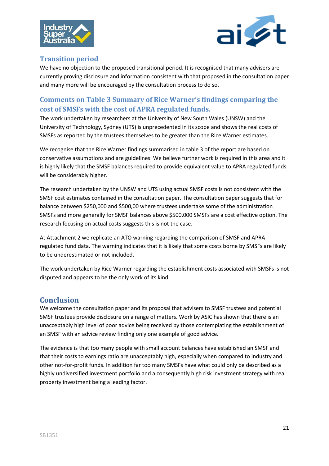



## <span id="page-20-0"></span>**Transition period**

We have no objection to the proposed transitional period. It is recognised that many advisers are currently proving disclosure and information consistent with that proposed in the consultation paper and many more will be encouraged by the consultation process to do so.

## <span id="page-20-1"></span>**Comments on Table 3 Summary of Rice Warner's findings comparing the cost of SMSFs with the cost of APRA regulated funds.**

The work undertaken by researchers at the University of New South Wales (UNSW) and the University of Technology, Sydney (UTS) is unprecedented in its scope and shows the real costs of SMSFs as reported by the trustees themselves to be greater than the Rice Warner estimates.

We recognise that the Rice Warner findings summarised in table 3 of the report are based on conservative assumptions and are guidelines. We believe further work is required in this area and it is highly likely that the SMSF balances required to provide equivalent value to APRA regulated funds will be considerably higher.

The research undertaken by the UNSW and UTS using actual SMSF costs is not consistent with the SMSF cost estimates contained in the consultation paper. The consultation paper suggests that for balance between \$250,000 and \$500,00 where trustees undertake some of the administration SMSFs and more generally for SMSF balances above \$500,000 SMSFs are a cost effective option. The research focusing on actual costs suggests this is not the case.

At Attachment 2 we replicate an ATO warning regarding the comparison of SMSF and APRA regulated fund data. The warning indicates that it is likely that some costs borne by SMSFs are likely to be underestimated or not included.

The work undertaken by Rice Warner regarding the establishment costs associated with SMSFs is not disputed and appears to be the only work of its kind.

## <span id="page-20-2"></span>**Conclusion**

We welcome the consultation paper and its proposal that advisers to SMSF trustees and potential SMSF trustees provide disclosure on a range of matters. Work by ASIC has shown that there is an unacceptably high level of poor advice being received by those contemplating the establishment of an SMSF with an advice review finding only one example of good advice.

The evidence is that too many people with small account balances have established an SMSF and that their costs to earnings ratio are unacceptably high, especially when compared to industry and other not-for-profit funds. In addition far too many SMSFs have what could only be described as a highly undiversified investment portfolio and a consequently high risk investment strategy with real property investment being a leading factor.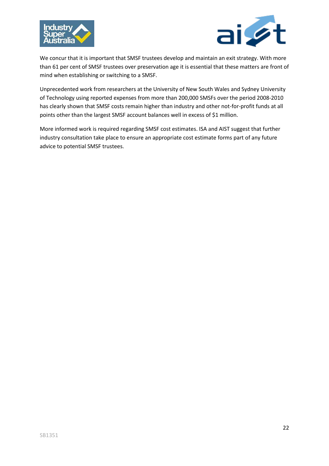



We concur that it is important that SMSF trustees develop and maintain an exit strategy. With more than 61 per cent of SMSF trustees over preservation age it is essential that these matters are front of mind when establishing or switching to a SMSF.

Unprecedented work from researchers at the University of New South Wales and Sydney University of Technology using reported expenses from more than 200,000 SMSFs over the period 2008-2010 has clearly shown that SMSF costs remain higher than industry and other not-for-profit funds at all points other than the largest SMSF account balances well in excess of \$1 million.

More informed work is required regarding SMSF cost estimates. ISA and AIST suggest that further industry consultation take place to ensure an appropriate cost estimate forms part of any future advice to potential SMSF trustees.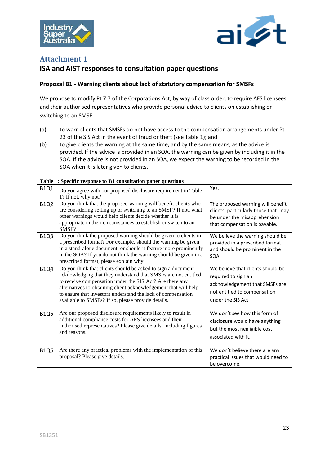



## <span id="page-22-0"></span>**Attachment 1**

## **ISA and AIST responses to consultation paper questions**

#### **Proposal B1 - Warning clients about lack of statutory compensation for SMSFs**

We propose to modify Pt 7.7 of the Corporations Act, by way of class order, to require AFS licensees and their authorised representatives who provide personal advice to clients on establishing or switching to an SMSF:

- (a) to warn clients that SMSFs do not have access to the compensation arrangements under Pt 23 of the SIS Act in the event of fraud or theft (see Table 1); and
- (b) to give clients the warning at the same time, and by the same means, as the advice is provided. If the advice is provided in an SOA, the warning can be given by including it in the SOA. If the advice is not provided in an SOA, we expect the warning to be recorded in the SOA when it is later given to clients.

| <b>B1Q1</b> | Do you agree with our proposed disclosure requirement in Table<br>1? If not, why not?                                                                                                                                                                                                                                                                                               | Yes.                                                                                                                                            |
|-------------|-------------------------------------------------------------------------------------------------------------------------------------------------------------------------------------------------------------------------------------------------------------------------------------------------------------------------------------------------------------------------------------|-------------------------------------------------------------------------------------------------------------------------------------------------|
| <b>B1Q2</b> | Do you think that the proposed warning will benefit clients who<br>are considering setting up or switching to an SMSF? If not, what<br>other warnings would help clients decide whether it is<br>appropriate in their circumstances to establish or switch to an<br>SMSF?                                                                                                           | The proposed warning will benefit<br>clients, particularly those that may<br>be under the misapprehension<br>that compensation is payable.      |
| <b>B1Q3</b> | Do you think the proposed warning should be given to clients in<br>a prescribed format? For example, should the warning be given<br>in a stand-alone document, or should it feature more prominently<br>in the SOA? If you do not think the warning should be given in a<br>prescribed format, please explain why.                                                                  | We believe the warning should be<br>provided in a prescribed format<br>and should be prominent in the<br>SOA.                                   |
| <b>B1Q4</b> | Do you think that clients should be asked to sign a document<br>acknowledging that they understand that SMSFs are not entitled<br>to receive compensation under the SIS Act? Are there any<br>alternatives to obtaining client acknowledgement that will help<br>to ensure that investors understand the lack of compensation<br>available to SMSFs? If so, please provide details. | We believe that clients should be<br>required to sign an<br>acknowledgement that SMSFs are<br>not entitled to compensation<br>under the SIS Act |
| <b>B1Q5</b> | Are our proposed disclosure requirements likely to result in<br>additional compliance costs for AFS licensees and their<br>authorised representatives? Please give details, including figures<br>and reasons.                                                                                                                                                                       | We don't see how this form of<br>disclosure would have anything<br>but the most negligible cost<br>associated with it.                          |
| <b>B1Q6</b> | Are there any practical problems with the implementation of this<br>proposal? Please give details.                                                                                                                                                                                                                                                                                  | We don't believe there are any<br>practical issues that would need to<br>be overcome.                                                           |

#### **Table 1: Specific response to B1 consultation paper questions**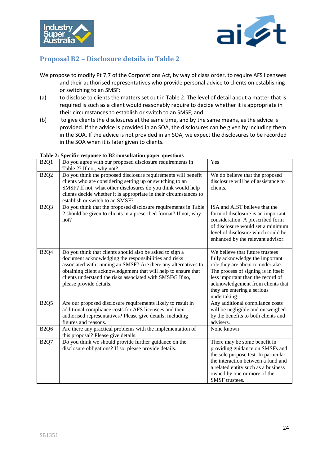



## <span id="page-23-0"></span>**Proposal B2 – Disclosure details in Table 2**

- We propose to modify Pt 7.7 of the Corporations Act, by way of class order, to require AFS licensees and their authorised representatives who provide personal advice to clients on establishing or switching to an SMSF:
- (a) to disclose to clients the matters set out in Table 2. The level of detail about a matter that is required is such as a client would reasonably require to decide whether it is appropriate in their circumstances to establish or switch to an SMSF; and
- (b) to give clients the disclosures at the same time, and by the same means, as the advice is provided. If the advice is provided in an SOA, the disclosures can be given by including them in the SOA. If the advice is not provided in an SOA, we expect the disclosures to be recorded in the SOA when it is later given to clients.

 $V_{\alpha}$ 

| B <sub>2</sub> Q <sub>1</sub> | Do you agree with our proposed disclosure requirements in<br>Table 2? If not, why not?                                                                                                                                                                                                                                                         | Yes                                                                                                                                                                                                                                                                     |
|-------------------------------|------------------------------------------------------------------------------------------------------------------------------------------------------------------------------------------------------------------------------------------------------------------------------------------------------------------------------------------------|-------------------------------------------------------------------------------------------------------------------------------------------------------------------------------------------------------------------------------------------------------------------------|
| <b>B2Q2</b>                   | Do you think the proposed disclosure requirements will benefit<br>clients who are considering setting up or switching to an<br>SMSF? If not, what other disclosures do you think would help<br>clients decide whether it is appropriate in their circumstances to<br>establish or switch to an SMSF?                                           | We do believe that the proposed<br>disclosure will be of assistance to<br>clients.                                                                                                                                                                                      |
| B <sub>2Q</sub> 3             | Do you think that the proposed disclosure requirements in Table<br>2 should be given to clients in a prescribed format? If not, why<br>not?                                                                                                                                                                                                    | ISA and AIST believe that the<br>form of disclosure is an important<br>consideration. A prescribed form<br>of disclosure would set a minimum<br>level of disclosure which could be<br>enhanced by the relevant advisor.                                                 |
| <b>B2Q4</b>                   | Do you think that clients should also be asked to sign a<br>document acknowledging the responsibilities and risks<br>associated with running an SMSF? Are there any alternatives to<br>obtaining client acknowledgement that will help to ensure that<br>clients understand the risks associated with SMSFs? If so,<br>please provide details. | We believe that future trustees<br>fully acknowledge the important<br>role they are about to undertake.<br>The process of signing is in itself<br>less important than the record of<br>acknowledgement from clients that<br>they are entering a serious<br>undertaking. |
| B <sub>2Q5</sub>              | Are our proposed disclosure requirements likely to result in<br>additional compliance costs for AFS licensees and their<br>authorised representatives? Please give details, including<br>figures and reasons.                                                                                                                                  | Any additional compliance costs<br>will be negligible and outweighed<br>by the benefits to both clients and<br>advisers.                                                                                                                                                |
| <b>B2Q6</b>                   | Are there any practical problems with the implementation of<br>this proposal? Please give details.                                                                                                                                                                                                                                             | None known                                                                                                                                                                                                                                                              |
| <b>B2Q7</b>                   | Do you think we should provide further guidance on the<br>disclosure obligations? If so, please provide details.                                                                                                                                                                                                                               | There may be some benefit in<br>providing guidance on SMSFs and<br>the sole purpose test. In particular<br>the interaction between a fund and<br>a related entity such as a business<br>owned by one or more of the<br>SMSF trustees.                                   |

# **Table 2: Specific response to B2 consultation paper questions**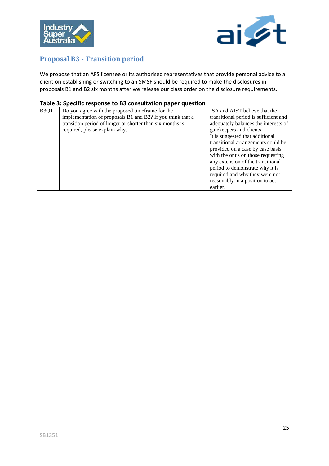



## <span id="page-24-0"></span>**Proposal B3 - Transition period**

We propose that an AFS licensee or its authorised representatives that provide personal advice to a client on establishing or switching to an SMSF should be required to make the disclosures in proposals B1 and B2 six months after we release our class order on the disclosure requirements.

#### **Table 3: Specific response to B3 consultation paper question**

| <b>B3Q1</b> | Do you agree with the proposed timeframe for the           | ISA and AIST believe that the         |
|-------------|------------------------------------------------------------|---------------------------------------|
|             | implementation of proposals B1 and B2? If you think that a | transitional period is sufficient and |
|             | transition period of longer or shorter than six months is  | adequately balances the interests of  |
|             | required, please explain why.                              | gatekeepers and clients               |
|             |                                                            | It is suggested that additional       |
|             |                                                            | transitional arrangements could be    |
|             |                                                            | provided on a case by case basis      |
|             |                                                            | with the onus on those requesting     |
|             |                                                            | any extension of the transitional     |
|             |                                                            | period to demonstrate why it is       |
|             |                                                            | required and why they were not        |
|             |                                                            | reasonably in a position to act       |
|             |                                                            | earlier.                              |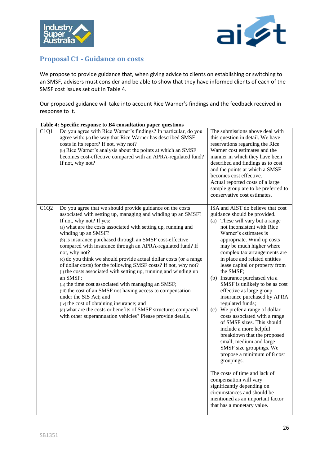



## <span id="page-25-0"></span>**Proposal C1 - Guidance on costs**

We propose to provide guidance that, when giving advice to clients on establishing or switching to an SMSF, advisers must consider and be able to show that they have informed clients of each of the SMSF cost issues set out in Table 4.

Our proposed guidance will take into account Rice Warner's findings and the feedback received in response to it.

| C1Q1 | $\sim$ presence is pointed to 2 i comparation puper qu<br>Do you agree with Rice Warner's findings? In particular, do you<br>agree with: (a) the way that Rice Warner has described SMSF<br>costs in its report? If not, why not?<br>(b) Rice Warner's analysis about the points at which an SMSF<br>becomes cost-effective compared with an APRA-regulated fund?<br>If not, why not?                                                                                                                                                                                                                                                                                                                                                                                                                                                                                                                                                              | The submissions above deal with<br>this question in detail. We have<br>reservations regarding the Rice<br>Warner cost estimates and the<br>manner in which they have been<br>described and findings as to cost<br>and the points at which a SMSF<br>becomes cost effective.<br>Actual reported costs of a large<br>sample group are to be preferred to<br>conservative cost estimates.                                                                                                                                                                                                                                                                                                                                                                                                                                                                                                                                                          |
|------|----------------------------------------------------------------------------------------------------------------------------------------------------------------------------------------------------------------------------------------------------------------------------------------------------------------------------------------------------------------------------------------------------------------------------------------------------------------------------------------------------------------------------------------------------------------------------------------------------------------------------------------------------------------------------------------------------------------------------------------------------------------------------------------------------------------------------------------------------------------------------------------------------------------------------------------------------|-------------------------------------------------------------------------------------------------------------------------------------------------------------------------------------------------------------------------------------------------------------------------------------------------------------------------------------------------------------------------------------------------------------------------------------------------------------------------------------------------------------------------------------------------------------------------------------------------------------------------------------------------------------------------------------------------------------------------------------------------------------------------------------------------------------------------------------------------------------------------------------------------------------------------------------------------|
| C1Q2 | Do you agree that we should provide guidance on the costs<br>associated with setting up, managing and winding up an SMSF?<br>If not, why not? If yes:<br>(a) what are the costs associated with setting up, running and<br>winding up an SMSF?<br>(b) is insurance purchased through an SMSF cost-effective<br>compared with insurance through an APRA-regulated fund? If<br>not, why not?<br>(c) do you think we should provide actual dollar costs (or a range<br>of dollar costs) for the following SMSF costs? If not, why not?<br>(i) the costs associated with setting up, running and winding up<br>an SMSF;<br>(ii) the time cost associated with managing an SMSF;<br>(iii) the cost of an SMSF not having access to compensation<br>under the SIS Act; and<br>(iv) the cost of obtaining insurance; and<br>(d) what are the costs or benefits of SMSF structures compared<br>with other superannuation vehicles? Please provide details. | ISA and AIST do believe that cost<br>guidance should be provided.<br>(a) These will vary but a range<br>not inconsistent with Rice<br>Warner's estimates is<br>appropriate. Wind up costs<br>may be much higher where<br>complex tax arrangements are<br>in place and related entities<br>lease capital or property from<br>the SMSF;<br>(b) Insurance purchased via a<br>SMSF is unlikely to be as cost<br>effective as large group<br>insurance purchased by APRA<br>regulated funds;<br>(c) We prefer a range of dollar<br>costs associated with a range<br>of SMSF sizes. This should<br>include a more helpful<br>breakdown that the proposed<br>small, medium and large<br>SMSF size groupings. We<br>propose a minimum of 8 cost<br>groupings.<br>The costs of time and lack of<br>compensation will vary<br>significantly depending on<br>circumstances and should be<br>mentioned as an important factor<br>that has a monetary value. |

#### **Table 4: Specific response to B4 consultation paper questions**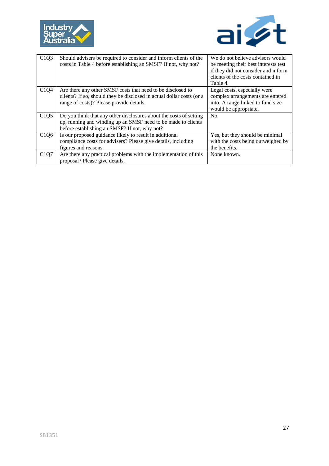



| C1Q3 | Should advisers be required to consider and inform clients of the<br>costs in Table 4 before establishing an SMSF? If not, why not? | We do not believe advisors would<br>be meeting their best interests test<br>if they did not consider and inform<br>clients of the costs contained in |
|------|-------------------------------------------------------------------------------------------------------------------------------------|------------------------------------------------------------------------------------------------------------------------------------------------------|
|      |                                                                                                                                     | Table 4.                                                                                                                                             |
| C1Q4 | Are there any other SMSF costs that need to be disclosed to                                                                         | Legal costs, especially were                                                                                                                         |
|      | clients? If so, should they be disclosed in actual dollar costs (or a                                                               | complex arrangements are entered                                                                                                                     |
|      | range of costs)? Please provide details.                                                                                            | into. A range linked to fund size                                                                                                                    |
|      |                                                                                                                                     | would be appropriate.                                                                                                                                |
| C1Q5 | Do you think that any other disclosures about the costs of setting                                                                  | N <sub>0</sub>                                                                                                                                       |
|      | up, running and winding up an SMSF need to be made to clients                                                                       |                                                                                                                                                      |
|      | before establishing an SMSF? If not, why not?                                                                                       |                                                                                                                                                      |
| C1Q6 | Is our proposed guidance likely to result in additional                                                                             | Yes, but they should be minimal                                                                                                                      |
|      | compliance costs for advisers? Please give details, including                                                                       | with the costs being outweighed by                                                                                                                   |
|      | figures and reasons.                                                                                                                | the benefits.                                                                                                                                        |
| C1Q7 | Are there any practical problems with the implementation of this                                                                    | None known.                                                                                                                                          |
|      | proposal? Please give details.                                                                                                      |                                                                                                                                                      |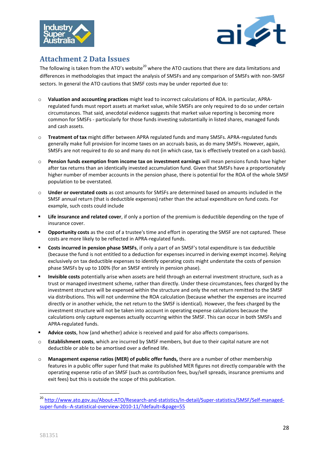



## <span id="page-27-0"></span>**Attachment 2 Data Issues**

The following is taken from the ATO's website<sup>20</sup> where the ATO cautions that there are data limitations and differences in methodologies that impact the analysis of SMSFs and any comparison of SMSFs with non-SMSF sectors. In general the ATO cautions that SMSF costs may be under reported due to:

- o **Valuation and accounting practices** might lead to incorrect calculations of ROA. In particular, APRAregulated funds must report assets at market value, while SMSFs are only required to do so under certain circumstances. That said, anecdotal evidence suggests that market value reporting is becoming more common for SMSFs - particularly for those funds investing substantially in listed shares, managed funds and cash assets.
- o **Treatment of tax** might differ between APRA regulated funds and many SMSFs. APRA-regulated funds generally make full provision for income taxes on an accruals basis, as do many SMSFs. However, again, SMSFs are not required to do so and many do not (in which case, tax is effectively treated on a cash basis).
- o **Pension funds exemption from income tax on investment earnings** will mean pensions funds have higher after tax returns than an identically invested accumulation fund. Given that SMSFs have a proportionately higher number of member accounts in the pension phase, there is potential for the ROA of the whole SMSF population to be overstated.
- o **Under or overstated costs** as cost amounts for SMSFs are determined based on amounts included in the SMSF annual return (that is deductible expenses) rather than the actual expenditure on fund costs. For example, such costs could include
- **Life insurance and related cover**, if only a portion of the premium is deductible depending on the type of insurance cover.
- **Opportunity costs** as the cost of a trustee's time and effort in operating the SMSF are not captured. These costs are more likely to be reflected in APRA-regulated funds.
- **Costs incurred in pension phase SMSFs**, if only a part of an SMSF's total expenditure is tax deductible (because the fund is not entitled to a deduction for expenses incurred in deriving exempt income). Relying exclusively on tax deductible expenses to identify operating costs might understate the costs of pension phase SMSFs by up to 100% (for an SMSF entirely in pension phase).
- **Invisible costs** potentially arise when assets are held through an external investment structure, such as a trust or managed investment scheme, rather than directly. Under these circumstances, fees charged by the investment structure will be expensed within the structure and only the net return remitted to the SMSF via distributions. This will not undermine the ROA calculation (because whether the expenses are incurred directly or in another vehicle, the net return to the SMSF is identical). However, the fees charged by the investment structure will not be taken into account in operating expense calculations because the calculations only capture expenses actually occurring within the SMSF. This can occur in both SMSFs and APRA-regulated funds.
- **Advice costs**, how (and whether) advice is received and paid for also affects comparisons.
- o **Establishment costs**, which are incurred by SMSF members, but due to their capital nature are not deductible or able to be amortised over a defined life.
- o **Management expense ratios (MER) of public offer funds,** there are a number of other membership features in a public offer super fund that make its published MER figures not directly comparable with the operating expense ratio of an SMSF (such as contribution fees, buy/sell spreads, insurance premiums and exit fees) but this is outside the scope of this publication.

**.** 

<sup>&</sup>lt;sup>20</sup> [http://www.ato.gov.au/About-ATO/Research-and-statistics/In-detail/Super-statistics/SMSF/Self-managed](http://www.ato.gov.au/About-ATO/Research-and-statistics/In-detail/Super-statistics/SMSF/Self-managed-super-funds--A-statistical-overview-2010-11/?default=&page=55)[super-funds--A-statistical-overview-2010-11/?default=&page=55](http://www.ato.gov.au/About-ATO/Research-and-statistics/In-detail/Super-statistics/SMSF/Self-managed-super-funds--A-statistical-overview-2010-11/?default=&page=55)